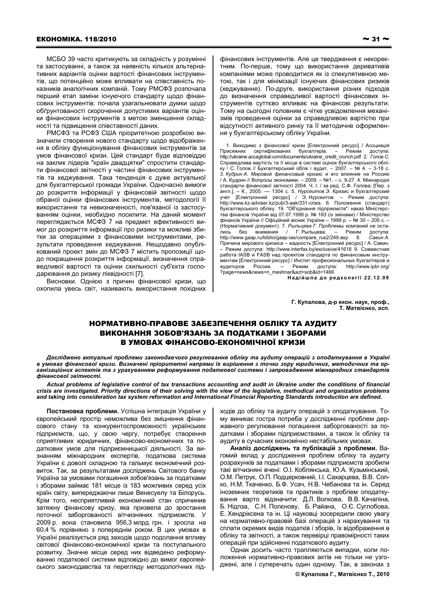МСБО 39 часто критикують за складність у розумінні та застосуванні, а також за наявність кількох альтернативних варіантів оцінки вартості фінансових інструментів, що потенційно може впливати на співставність показників аналогічних компаній. Тому РМСФЗ розпочала перший етап заміни існуючого стандарту щодо фінансових інструментів: почала узагальнювати думки щодо обґрунтованості скорочення допустимих варіантів оцінки фінансових інструментів з метою зменшення складності та підвищення співставності даних.

РМСФЗ та РСФЗ США пріоритетною розробкою визначили створення нового стандарту щодо відображення в обліку функціонування фінансових інструментів за умов фінансової кризи. Цей стандарт буде відповіддю на заклик лідерів "країн двадцятки" спростити стандарти фінансової звітності у частині фінансових інструментів та хеджування. Така тенденція є дуже актуальної для бухгалтерської громади України. Одночасно вимоги до розкриття інформації у фінансовій звітності щодо обраної оцінки фінансових інструментів, методології її використання та невизначеності, пов'язаної із застосуванням оцінки, необхідно посилити. На даний момент переглядається МСФЗ 7 на предмет ефективності вимог до розкриття інформації про ризики та можливі збитки за операціями з фінансовими інструментами, результати проведення хеджування. Нещодавно опублікований проект змін до МСФЗ 7 містить пропозиції щодо покращення розкриття інформації, визначення справедливої вартості та оцінки схильності суб'єкта господарювання до ризику ліквідності [7].

Висновки. Однією з причин фінансової кризи, що охопила увесь світ, називають використання похідних фінансових інструментів. Але це твердження є некоректним. По-перше, тому що використання деривативів компаніями може проводитися як із спекулятивною метою, так і для мінімізації існуючих фінансових ризиків (хеджування). По-друге, використання різних підходів до визначення справедливої вартості фінансових інструментів суттєво впливає на фінансові результати. Тому на сьогодні головним є чітке усвідомлення механізмів проведення оцінки за справедливою вартістю при відсутності активного ринку та її методичне оформлення у бухгалтерському обліку України.

1. Виходимо з фінансової кризи [Електронний ресурс] / Асоциація Присяжних сертифікованих бухгалтерів. Режим доступа: http://ukraine.accaglobal.com/documents/ukraine credit crunch.pdf 2. Голов С. Справедлива вартість та її місце в системі оцінок бухгалтерського обліку / С. Голов // Бухгалтерський облік і аудит. - 2007. - № 4. - 3-18 с. 3. Кудрин А. Мировой финансовый кризис и его влияние на Россию ГА. Кудрин // Вопросы экономики. - 2009. - №1. - с. 9-27. 4. Міжнародні стандарти фінансової звітності 2004. Ч. І. / за ред. С.Ф. Голова; [Пер. з англ.]. - К., 2005. - 1304 с. 5. Нурсеитов Э. Кризис и бухгалтерский апил.<br>
учет [Електронний ресурс] / Э. Нурсеитов. – Режим доступа:<br>http://www.kz-adviser.kz/pub/3-aak/331-crisis. 6. Положення (стандарт) бухгалтерського обліку. 19. "Об'єднання підприємств": наказ Міністерства фінансів України від 07.07.1999 р. № 163 (із змінами) / Міністерство фінансів України // Офіційний вісник України - 1999 р. - № 30 - 205 с. -— эльно содержители от состивляет по при этом до того.<br>- (Нормативний документ). 7. Рыльцева Г. Проблемы компаний не оста-<br>лись без внимания / Г. Рыльцева. - Режим доступа: - Режим доступа: http://www.qaap.ru/biblio/qaap-ias/compare\_rus2/249.asp 8. Савин А. Причина мирового кризиса - жадность [Електронний ресурс] / А. Савин. Режим доступа: http://www.interfax.by/exclusive/41618 9. Совместная работа IASB и FASB над проектом стандарта по финансовым инструментам [Електронний ресурс] / Инстит професиональных бухгалтеров и доступа: **AVANTODOR POCCIALA PAWIAM** http://www.iphr.org/ аудиторов госсии. – нежим доступа<br>?page=news&news=n\_meshnar&act=sob&id=1466?

Надійшла до редколегії 22.12.09

Г. Купалова, д-р екон. наук, проф., Т. Матвієнко, асп.

## НОРМАТИВНО-ПРАВОВЕ ЗАБЕЗПЕЧЕННЯ ОБЛІКУ ТА АУДИТУ **ВИКОНАННЯ ЗОБОВ'ЯЗАНЬ ЗА ПОДАТКАМИ І ЗБОРАМИ** В УМОВАХ ФІНАНСОВО-ЕКОНОМІЧНОЇ КРИЗИ

Досліджено актуальні проблеми законодавчого регулювання обліку та аудиту операцій з оподаткування в Україні в умовах фінансової кризи. Визначені пріоритетні напрями їх вирішення з точки зору юридичних, методичних та організаційних аспектів та з урахуванням реформування податкової системи і запровадження міжнародних стандартів фінансової звітності.

Actual problems of legislative control of tax transactions accounting and audit in Ukraine under the conditions of financial crisis are investigated. Priority directions of their solving with the view of the legislative, methodical and organization problems and taking into consideration tax system reformation and International Financial Reporting Standards introduction are defined.

Постановка проблеми. Успішна інтеграція України у європейський простір неможлива без зміцнення фінансового стану та конкурентоспроможності українських підприємств, що, у свою чергу, потребує створення сприятливих юридичних, фінансово-економічних та податкових умов для підприємницької діяльності. За визнанням міжнародних експертів, податкова система України є доволі складною та гальмує економічний розвиток. Так, за результатами досліджень Світового банку Україна за умовами погашення зобов'язань за податками і зборами займає 181 місце із 183 можливих серед усіх країн світу, випереджаючи лише Венесуелу та Білорусь. Крім того, несприятливий економічний стан спричинив затяжну фінансову кризу, яка призвела до зростання поточної заборгованості вітчизняних підприємств. У 2009 р. вона становила 956.3 млрд. грн. і зросла на 60,4 % порівняно з попереднім роком. В цих умовах в Україні реалізується ряд заходів щодо подолання впливу світової фінансово-економічної кризи та поступального розвитку. Значне місце серед них відведено реформуванню податкової системи відповідно до вимог європейського законодавства та перегляду методологічних підходів до обліку та аудиту операцій з оподаткування. Тому виникає гостра потреба у дослідженні проблем державного регулювання погашення заборгованості за податками і зборами підприємствами, а також їх обліку та аудиту в сучасних економічно нестабільних умовах.

Аналіз досліджень та публікацій з проблеми. Вагомий вклад у дослідження проблем обліку та аудиту розрахунків за податками і зборами підприємств зробили такі вітчизняні вчені: О.І. Коблянська, Ю.А. Кузьмінський, О.М. Петрук, О.П. Подцерковний, І.І. Сахарцева, В.В. Сопко, Н.М. Ткаченко, Б.Ф. Усач, Н.В. Чебанова та ін. Серед іноземних теоретиків та практиків з проблем оподаткування варто відзначити: Д.Л. Волкова, В.В. Качаліна, Б. Нідлза, С.Н. Полєнову, Б. Райана, О.Є. Суглобова, Е. Хендріксена та ін. Ці науковці зосередили свою увагу на нормативно-правовій базі операцій з нарахування та сплати окремих видів податків і зборів, їх відображення в обліку та звітності, а також перевірці правомірності таких операцій при здійсненні податкового аудиту.

Однак досить часто трапляються випадки, коли положення нормативно-правових актів не тільки не узгоджені, але і суперечать один одному. Так, в законах з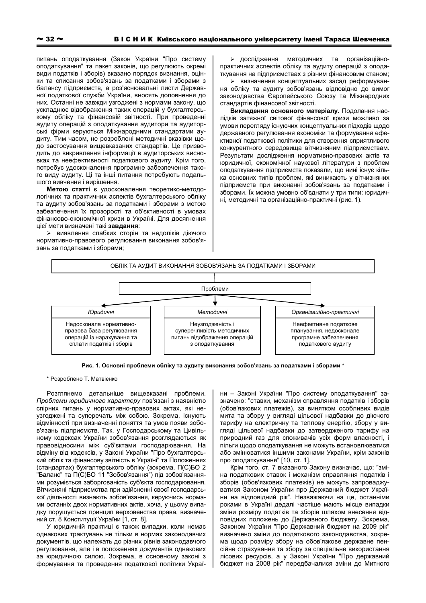питань оподаткування (Закон України "Про систему оподаткування" та пакет законів, що регулюють окремі види податків і зборів) вказано порядок визнання, оцінки та списання зобов'язань за податками і зборами з балансу підприємств, а роз'яснювальні листи Державної податкової служби України, вносять доповнення до них. Останні не завжди узгоджені з нормами закону, що ускладнює відображення таких операцій у бухгалтерському обліку та фінансовій звітності. При проведенні аудиту операцій з оподаткування аудитори та аудиторські фірми керуються Міжнародними стандартами аудиту. Тим часом, не розроблені методичні вказівки щодо застосування вищевказаних стандартів. Це призводить до викривлення інформації в аудиторських висновках та неефективності податкового аудиту. Крім того, потребує удосконалення програмне забезпечення такого виду аудиту. Ці та інші питання потребують подальшого вивчення і вирішення.

Метою статті є удосконалення теоретико-методологічних та практичних аспектів бухгалтерського обліку та аудиту зобов'язань за податками і зборами з метою забезпечення їх прозорості та об'єктивності в умовах фінансово-економічної кризи в Україні. Для досягнення цієї мети визначені такі завдання:

> виявлення слабких сторін та недоліків діючого нормативно-правового регулювання виконання зобов'язань за податками і зборами;

> дослідження методичних та організаційнопрактичних аспектів обліку та аудиту операцій з оподаткування на підприємствах з різним фінансовим станом;

> визначення концептуальних засад реформування обліку та аудиту зобов'язань відповідно до вимог законодавства Європейського Союзу та Міжнародних стандартів фінансової звітності.

Викладення основного матеріалу. Подолання наслідків затяжної світової фінансової кризи можливо за умови перегляду існуючих концептуальних підходів щодо державного регулювання економіки та формування ефективної податкової політики для створення сприятливого конкурентного середовища вітчизняним підприємствам. Результати дослідження нормативно-правових актів та юридичної, економічної наукової літератури з проблем оподаткування підприємств показали, що нині існує кілька основних типів проблем, які виникають у вітчизняних підприємств при виконанні зобов'язань за податками і зборами. Їх можна умовно об'єднати у три типи: юридичні, методичні та організаційно-практичні (рис. 1).



Рис. 1. Основні проблеми обліку та аудиту виконання зобов'язань за податками і зборами\*

\* Розроблено Т. Матвієнко

Розглянемо детальніше вищевказані проблеми. Проблеми юридичного характеру пов'язані з наявністю спірних питань у нормативно-правових актах, які неузгоджені та суперечать між собою. Зокрема, існують відмінності при визначенні поняття та умов появи зобов'язань підприємств. Так, у Господарському та Цивільному кодексах України зобов'язання розглядаються як правовідносини між суб'єктами господарювання. На відміну від кодексів, у Законі України "Про бухгалтерський облік та фінансову звітність в Україні" та Положеннях (стандартах) бухгалтерського обліку (зокрема, П(С)БО 2 "Баланс" та П(С)БО 11 "Зобов'язання") під зобов'язаннями розуміється заборгованість суб'єкта господарювання. Вітчизняні підприємства при здійсненні своєї господарської діяльності визнають зобов'язання, керуючись нормами останніх двох нормативних актів, хоча, у цьому випадку порушується принцип верховенства права, визначений ст. 8 Конституції України [1, ст. 8].

У юридичній практиці є також випадки, коли немає однакових трактувань не тільки в нормах законодавчих документів, що належать до різних рівнів законодавчого регулювання, але і в положеннях документів однакових за юридичною силою. Зокрема, в основному законі з формування та проведення податкової політики України - Законі України "Про систему оподаткування" зазначено: "ставки, механізм справляння податків і зборів (обов'язкових платежів), за винятком особливих видів мита та збору у вигляді цільової надбавки до діючого тарифу на електричну та теплову енергію, збору у вигляді цільової надбавки до затвердженого тарифу на природний газ для споживачів усіх форм власності, і пільги щодо оподаткування не можуть встановлюватися або змінюватися іншими законами України, крім законів про оподаткування" [10, ст. 1].

Крім того, ст. 7 вказаного Закону визначає, що: "зміна податкових ставок і механізм справляння податків і зборів (обов'язкових платежів) не можуть запроваджуватися Законом України про Державний бюджет України на відповідний рік". Незважаючи на це, останніми роками в Україні дедалі частіше мають місце випадки зміни розміру податків та зборів шляхом внесення відповідних положень до Державного бюджету. Зокрема, Законом України "Про Державний бюджет на 2009 рік" визначено зміни до податкового законодавства, зокрема щодо розміру збору на обов'язкове державне пенсійне страхування та збору за спеціальне використання лісових ресурсів, а у Законі України "Про державний бюджет на 2008 рік" передбачалися зміни до Митного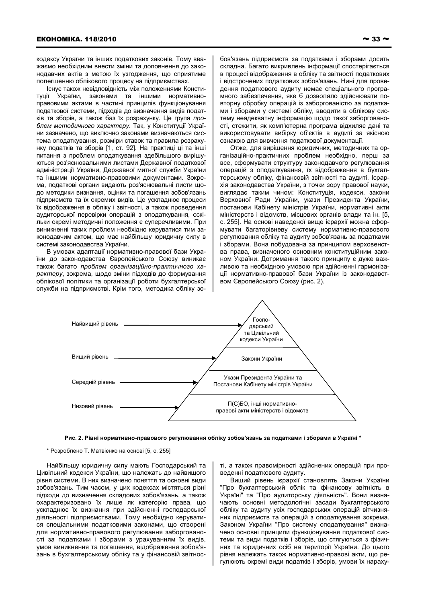кодексу України та інших податкових законів. Тому вважаємо необхідним внести зміни та доповнення до законодавчих актів з метою їх узгодження, що сприятиме полегшенню облікового процесу на підприємствах.

Існує також невідповідність між положеннями Конституції України, законами та іншими нормативноправовими актами в частині принципів функціонування податкової системи, підходів до визначення видів податків та зборів, а також баз їх розрахунку. Це група проблем методичного характеру. Так, у Конституції України зазначено, що виключно законами визначаються система оподаткування, розміри ставок та правила розрахунку податків та зборів [1, ст. 92]. На практиці ці та інші питання з проблем оподаткування здебільшого вирішуються роз'яснювальними листами Державної податкової адміністрації України, Державної митної служби України та іншими нормативно-правовими документами. Зокрема, податкові органи видають роз'яснювальні листи щодо методики визнання, оцінки та погашення зобов'язань підприємств та їх окремих видів. Це ускладнює процеси їх відображення в обліку і звітності, а також проведення аудиторської перевірки операцій з оподаткування, оскільки окремі методичні положення є суперечливими. При виникненні таких проблем необхідно керуватися тим законодавчим актом, що має найбільшу юридичну силу в системі законодавства України.

В умовах адаптації нормативно-правової бази України до законодавства Європейського Союзу виникає також багато проблем організаційно-практичного характеру, зокрема, щодо зміни підходів до формування облікової політики та організації роботи бухгалтерської служби на підприємстві. Крім того, методика обліку зобов'язань підприємств за податками і зборами досить складна. Багато викривлень інформації спостерігається в процесі відображення в обліку та звітності податкових і відстрочених податкових зобов'язань. Нині для проведення податкового аудиту немає спеціального програмного забезпечення, яке б дозволяло здійснювати повторну обробку операцій із заборгованістю за податками і зборами у системі обліку, вводити в облікову систему неадекватну інформацію щодо такої заборгованості, стежити, як комп'ютерна програма відхиляє дані та використовувати вибірку об'єктів в аудиті за якісною ознакою для вивчення податкової документації.

Отже, для вирішення юридичних, методичних та організаційно-практичних проблем необхідно, перш за все, сформувати структуру законодавчого регулювання операцій з оподаткування, їх відображення в бухгалтерському обліку, фінансовій звітності та аудиті. Ієрархія законодавства України, з точки зору правової науки, виглядає таким чином: Конституція, кодекси, закони Верховної Ради України, укази Президента України, постанови Кабінету міністрів України, нормативні акти міністерств і відомств, місцевих органів влади та ін. [5, с. 255]. На основі наведеної вище ієрархії можна сформувати багаторівневу систему нормативно-правового регулювання обліку та аудиту зобов'язань за податками і зборами. Вона побудована за принципом верховенства права, визначеного основним конституційним законом України. Дотримання такого принципу є дуже важливою та необхідною умовою при здійсненні гармонізації нормативно-правової бази України із законодавством Європейського Союзу (рис. 2).





\* Розроблено Т. Матвієнко на основі [5, с. 255]

Найбільшу юридичну силу мають Господарський та Цивільний кодекси України, що належать до найвищого рівня системи. В них визначено поняття та основні види зобов'язань. Тим часом, у цих кодексах містяться різні підходи до визначення складових зобов'язань, а також охарактеризовано їх лише як категорію права, що ускладнює їх визнання при здійсненні господарської діяльності підприємствами. Тому необхідно керуватися спеціальними податковими законами, що створені для нормативно-правового регулювання заборгованості за податками і зборами з урахуванням їх видів, умов виникнення та погашення, відображення зобов'язань в бухгалтерському обліку та у фінансовій звітнос-

ті, а також правомірності здійснених операцій при проведенні податкового аудиту.

Вищий рівень ієрархії становлять Закони України "Про бухгалтерський облік та фінансову звітність в Україні" та "Про аудиторську діяльність". Вони визначають основні методологічні засади бухгалтерського обліку та аудиту усіх господарських операцій вітчизняних підприємств та операцій з оподаткування зокрема. Законом України "Про систему оподаткування" визначено основні принципи функціонування податкової системи та види податків і зборів, що стягуються з фізичних та юридичних осіб на території України. До цього рівня належать також нормативно-правові акти, що регулюють окремі види податків і зборів, умови їх нараху